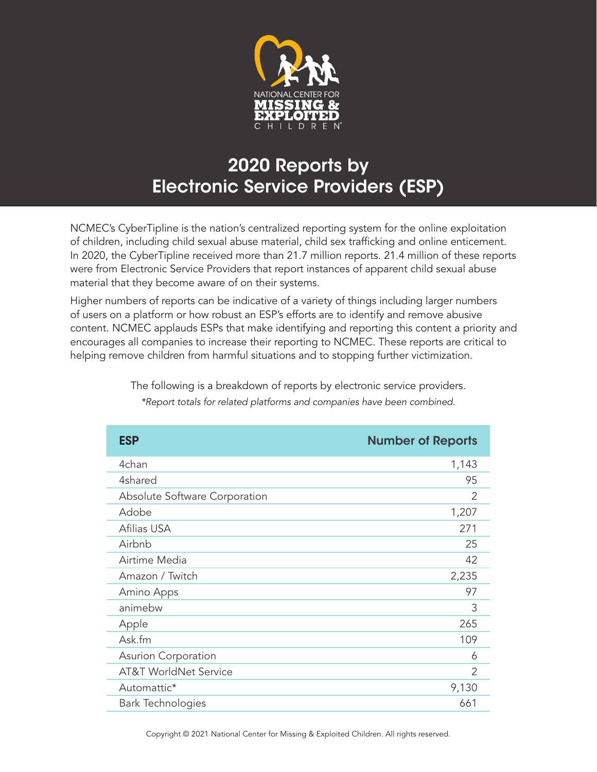

## 2020 Reports by Electronic Service Providers (ESP)

NCMEC's CyberTipline is the nation's centralized reporting system for the online exploitation of children, including child sexual abuse material, child sex trafficking and online enticement. In 2020, the CyberTipline received more than 21.7 million reports. 21.4 million of these reports were from Electronic Service Providers that report instances of apparent child sexual abuse material that they become aware of on their systems.

Higher numbers of reports can be indicative of a variety of things including larger numbers of users on a platform or how robust an ESP's efforts are to identify and remove abusive content. NCMEC applauds ESPs that make identifying and reporting this content a priority and encourages all companies to increase their reporting to NCMEC. These reports are critical to helping remove children from harmful situations and to stopping further victimization.

| <b>ESP</b>                       | <b>Number of Reports</b> |
|----------------------------------|--------------------------|
| 4chan                            | 1,143                    |
| 4shared                          | 95                       |
| Absolute Software Corporation    | $\mathcal{P}$            |
| Adobe                            | 1,207                    |
| Afilias USA                      | 271                      |
| Airbnb                           | 25                       |
| Airtime Media                    | 42                       |
| Amazon / Twitch                  | 2,235                    |
| Amino Apps                       | 97                       |
| animebw                          | 3                        |
| Apple                            | 265                      |
| Ask.fm                           | 109                      |
| Asurion Corporation              | 6                        |
| <b>AT&amp;T WorldNet Service</b> | $\mathcal{P}$            |
| Automattic*                      | 9,130                    |
| <b>Bark Technologies</b>         | 661                      |

The following is a breakdown of reports by electronic service providers. *\*Report totals for related platforms and companies have been combined.*

Copyright © 2021 National Center for Missing & Exploited Children. All rights reserved.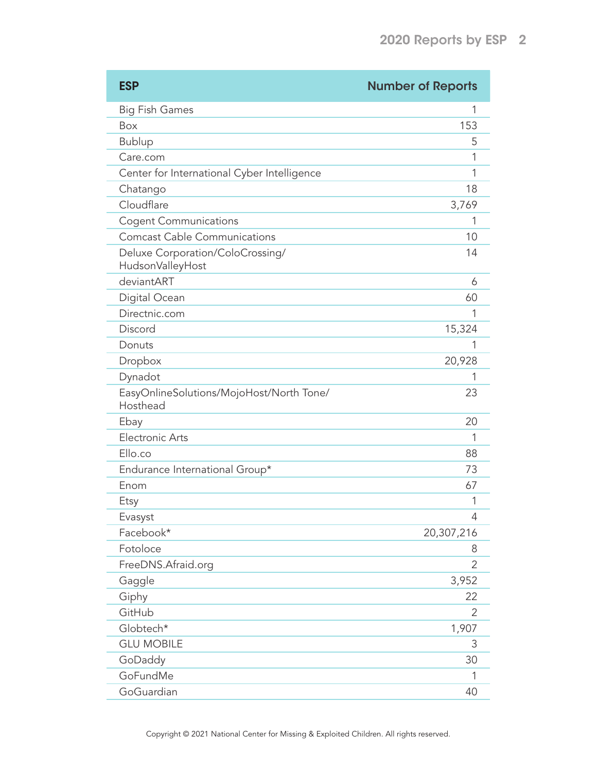| <b>ESP</b>                                           | <b>Number of Reports</b> |
|------------------------------------------------------|--------------------------|
| <b>Big Fish Games</b>                                | 1                        |
| Box                                                  | 153                      |
| <b>Bublup</b>                                        | 5                        |
| Care.com                                             | 1                        |
| Center for International Cyber Intelligence          | 1                        |
| Chatango                                             | 18                       |
| Cloudflare                                           | 3,769                    |
| <b>Cogent Communications</b>                         | 1                        |
| <b>Comcast Cable Communications</b>                  | 10                       |
| Deluxe Corporation/ColoCrossing/<br>HudsonValleyHost | 14                       |
| deviantART                                           | 6                        |
| Digital Ocean                                        | 60                       |
| Directnic.com                                        | 1                        |
| Discord                                              | 15,324                   |
| Donuts                                               | 1                        |
| Dropbox                                              | 20,928                   |
| Dynadot                                              | 1                        |
| EasyOnlineSolutions/MojoHost/North Tone/<br>Hosthead | 23                       |
| Ebay                                                 | 20                       |
| <b>Electronic Arts</b>                               | 1                        |
| Ello.co                                              | 88                       |
| Endurance International Group*                       | 73                       |
| Enom                                                 | 67                       |
| Etsy                                                 | 1                        |
| Evasyst                                              | 4                        |
| Facebook*                                            | 20,307,216               |
| Fotoloce                                             | 8                        |
| FreeDNS.Afraid.org                                   | 2                        |
| Gaggle                                               | 3,952                    |
| Giphy                                                | 22                       |
| GitHub                                               | 2                        |
| Globtech*                                            | 1,907                    |
| <b>GLU MOBILE</b>                                    | 3                        |
| GoDaddy                                              | 30                       |
| GoFundMe                                             | 1                        |
| GoGuardian                                           | 40                       |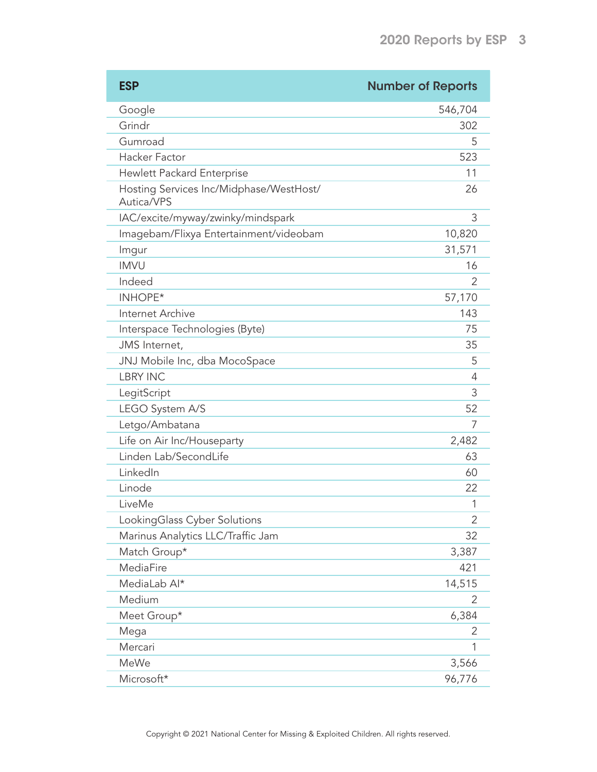| <b>ESP</b>                                            | <b>Number of Reports</b> |
|-------------------------------------------------------|--------------------------|
| Google                                                | 546,704                  |
| Grindr                                                | 302                      |
| Gumroad                                               | 5                        |
| <b>Hacker Factor</b>                                  | 523                      |
| Hewlett Packard Enterprise                            | 11                       |
| Hosting Services Inc/Midphase/WestHost/<br>Autica/VPS | 26                       |
| IAC/excite/myway/zwinky/mindspark                     | 3                        |
| Imagebam/Flixya Entertainment/videobam                | 10,820                   |
| Imgur                                                 | 31,571                   |
| <b>IMVU</b>                                           | 16                       |
| Indeed                                                | 2                        |
| <b>INHOPE*</b>                                        | 57,170                   |
| Internet Archive                                      | 143                      |
| Interspace Technologies (Byte)                        | 75                       |
| JMS Internet,                                         | 35                       |
| JNJ Mobile Inc, dba MocoSpace                         | 5                        |
| <b>LBRY INC</b>                                       | 4                        |
| LegitScript                                           | 3                        |
| LEGO System A/S                                       | 52                       |
| Letgo/Ambatana                                        | 7                        |
| Life on Air Inc/Houseparty                            | 2,482                    |
| Linden Lab/SecondLife                                 | 63                       |
| LinkedIn                                              | 60                       |
| Linode                                                | 22                       |
| LiveMe                                                | 1                        |
| LookingGlass Cyber Solutions                          | 2                        |
| Marinus Analytics LLC/Traffic Jam                     | 32                       |
| Match Group*                                          | 3,387                    |
| MediaFire                                             | 421                      |
| MediaLab Al*                                          | 14,515                   |
| Medium                                                | 2                        |
| Meet Group*                                           | 6,384                    |
| Mega                                                  | 2                        |
| Mercari                                               | 1                        |
| MeWe                                                  | 3,566                    |
| Microsoft*                                            | 96,776                   |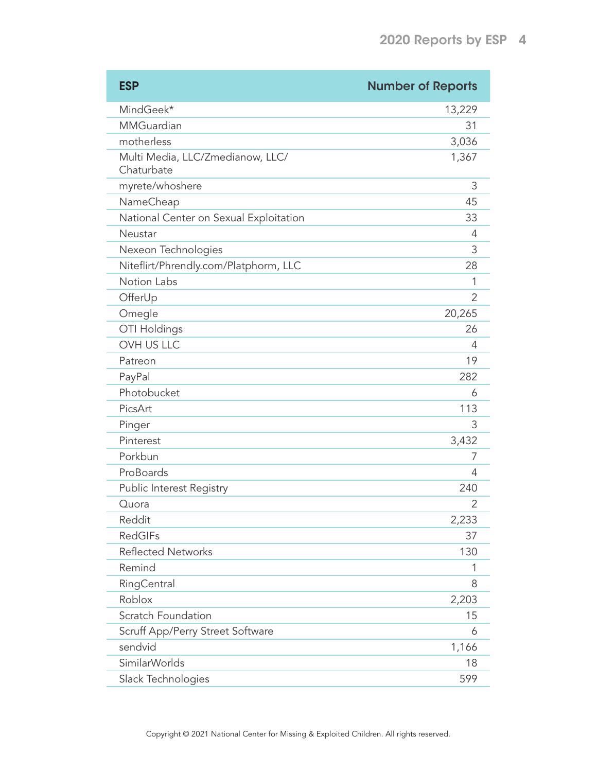| <b>ESP</b>                                     | <b>Number of Reports</b> |
|------------------------------------------------|--------------------------|
| MindGeek*                                      | 13,229                   |
| MMGuardian                                     | 31                       |
| motherless                                     | 3,036                    |
| Multi Media, LLC/Zmedianow, LLC/<br>Chaturbate | 1,367                    |
| myrete/whoshere                                | 3                        |
| NameCheap                                      | 45                       |
| National Center on Sexual Exploitation         | 33                       |
| Neustar                                        | 4                        |
| Nexeon Technologies                            | 3                        |
| Niteflirt/Phrendly.com/Platphorm, LLC          | 28                       |
| Notion Labs                                    | 1                        |
| OfferUp                                        | $\overline{2}$           |
| Omegle                                         | 20,265                   |
| OTI Holdings                                   | 26                       |
| <b>OVH US LLC</b>                              | 4                        |
| Patreon                                        | 19                       |
| PayPal                                         | 282                      |
| Photobucket                                    | 6                        |
| PicsArt                                        | 113                      |
| Pinger                                         | 3                        |
| Pinterest                                      | 3,432                    |
| Porkbun                                        | 7                        |
| ProBoards                                      | 4                        |
| Public Interest Registry                       | 240                      |
| Quora                                          | 2                        |
| Reddit                                         | 2,233                    |
| <b>RedGIFs</b>                                 | 37                       |
| <b>Reflected Networks</b>                      | 130                      |
| Remind                                         | 1                        |
| RingCentral                                    | 8                        |
| Roblox                                         | 2,203                    |
| Scratch Foundation                             | 15                       |
| Scruff App/Perry Street Software               | 6                        |
| sendvid                                        | 1,166                    |
| <b>SimilarWorlds</b>                           | 18                       |
| Slack Technologies                             | 599                      |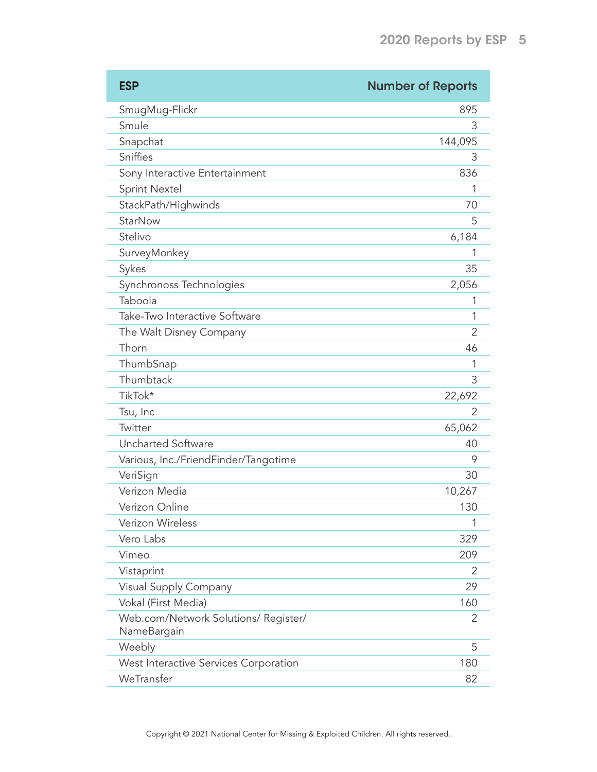| <b>ESP</b>                                          | <b>Number of Reports</b> |
|-----------------------------------------------------|--------------------------|
| SmugMug-Flickr                                      | 895                      |
| Smule                                               | 3                        |
| Snapchat                                            | 144,095                  |
| Sniffies                                            | 3                        |
| Sony Interactive Entertainment                      | 836                      |
| <b>Sprint Nextel</b>                                |                          |
| StackPath/Highwinds                                 | 70                       |
| <b>StarNow</b>                                      | 5                        |
| Stelivo                                             | 6,184                    |
| SurveyMonkey                                        | 1                        |
| Sykes                                               | 35                       |
| Synchronoss Technologies                            | 2,056                    |
| Taboola                                             | 1                        |
| Take-Two Interactive Software                       | 1                        |
| The Walt Disney Company                             | $\overline{2}$           |
| Thorn                                               | 46                       |
| ThumbSnap                                           | 1                        |
| Thumbtack                                           | 3                        |
| TikTok*                                             | 22,692                   |
| Tsu, Inc                                            | 2                        |
| Twitter                                             | 65,062                   |
| <b>Uncharted Software</b>                           | 40                       |
| Various, Inc./FriendFinder/Tangotime                | 9                        |
| VeriSign                                            | 30                       |
| Verizon Media                                       | 10,267                   |
| Verizon Online                                      | 130                      |
| Verizon Wireless                                    | 1                        |
| Vero Labs                                           | 329                      |
| Vimeo                                               | 209                      |
| Vistaprint                                          | 2                        |
| Visual Supply Company                               | 29                       |
| Vokal (First Media)                                 | 160                      |
| Web.com/Network Solutions/ Register/<br>NameBargain | 2                        |
| Weebly                                              | 5                        |
| West Interactive Services Corporation               | 180                      |
| WeTransfer                                          | 82                       |